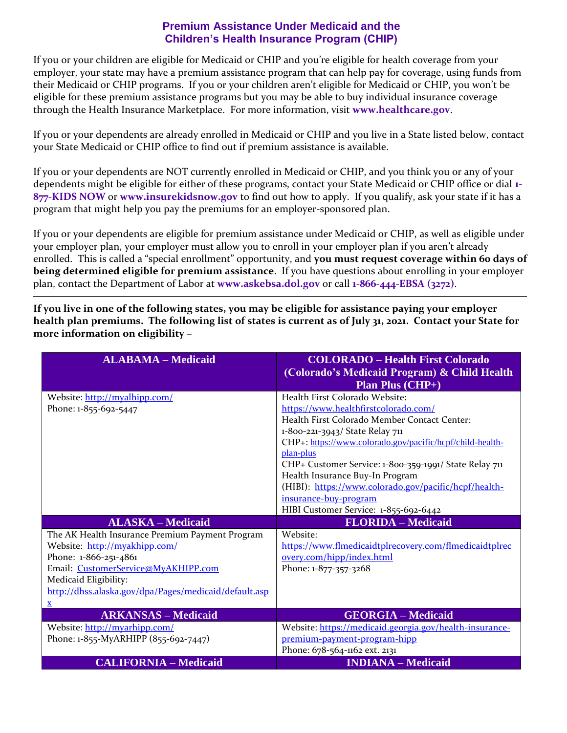## **Premium Assistance Under Medicaid and the Children's Health Insurance Program (CHIP)**

If you or your children are eligible for Medicaid or CHIP and you're eligible for health coverage from your employer, your state may have a premium assistance program that can help pay for coverage, using funds from their Medicaid or CHIP programs. If you or your children aren't eligible for Medicaid or CHIP, you won't be eligible for these premium assistance programs but you may be able to buy individual insurance coverage through the Health Insurance Marketplace. For more information, visit **[www.healthcare.gov](http://www.healthcare.gov/)**.

If you or your dependents are already enrolled in Medicaid or CHIP and you live in a State listed below, contact your State Medicaid or CHIP office to find out if premium assistance is available.

If you or your dependents are NOT currently enrolled in Medicaid or CHIP, and you think you or any of your dependents might be eligible for either of these programs, contact your State Medicaid or CHIP office or dial **1- 877-KIDS NOW** or **[www.insurekidsnow.gov](http://www.insurekidsnow.gov/)** to find out how to apply. If you qualify, ask your state if it has a program that might help you pay the premiums for an employer-sponsored plan.

If you or your dependents are eligible for premium assistance under Medicaid or CHIP, as well as eligible under your employer plan, your employer must allow you to enroll in your employer plan if you aren't already enrolled. This is called a "special enrollment" opportunity, and you must request coverage within 60 days of **being determined eligible for premium assistance**. If you have questions about enrolling in your employer plan, contact the Department of Labor at **[www.askebsa.dol.gov](http://www.askebsa.dol.gov/)** or call **1-866-444-EBSA (3272)**.

**If you live in one of the following states, you may be eligible for assistance paying your employer health plan premiums. The following list of states is current as of July 31, 2021. Contact your State for more information on eligibility –**

| <b>ALABAMA - Medicaid</b>                             | <b>COLORADO - Health First Colorado</b><br>(Colorado's Medicaid Program) & Child Health |
|-------------------------------------------------------|-----------------------------------------------------------------------------------------|
|                                                       | <b>Plan Plus (CHP+)</b>                                                                 |
| Website: http://myalhipp.com/                         | Health First Colorado Website:                                                          |
| Phone: 1-855-692-5447                                 | https://www.healthfirstcolorado.com/                                                    |
|                                                       | Health First Colorado Member Contact Center:                                            |
|                                                       | 1-800-221-3943/ State Relay 711                                                         |
|                                                       | CHP+: https://www.colorado.gov/pacific/hcpf/child-health-                               |
|                                                       | plan-plus                                                                               |
|                                                       | CHP+ Customer Service: 1-800-359-1991/ State Relay 711                                  |
|                                                       | Health Insurance Buy-In Program                                                         |
|                                                       | (HIBI): https://www.colorado.gov/pacific/hcpf/health-                                   |
|                                                       | insurance-buy-program                                                                   |
|                                                       | HIBI Customer Service: 1-855-692-6442                                                   |
| <b>ALASKA - Medicaid</b>                              | <b>FLORIDA</b> - Medicaid                                                               |
| The AK Health Insurance Premium Payment Program       | Website:                                                                                |
| Website: http://myakhipp.com/                         | https://www.flmedicaidtplrecovery.com/flmedicaidtplrec                                  |
| Phone: 1-866-251-4861                                 | overy.com/hipp/index.html                                                               |
| Email: CustomerService@MyAKHIPP.com                   | Phone: 1-877-357-3268                                                                   |
| Medicaid Eligibility:                                 |                                                                                         |
| http://dhss.alaska.gov/dpa/Pages/medicaid/default.asp |                                                                                         |
| $\mathbf{x}$                                          |                                                                                         |
| <b>ARKANSAS - Medicaid</b>                            | <b>GEORGIA – Medicaid</b>                                                               |
| Website: http://myarhipp.com/                         | Website: https://medicaid.georgia.gov/health-insurance-                                 |
| Phone: 1-855-MyARHIPP (855-692-7447)                  | premium-payment-program-hipp                                                            |
|                                                       | Phone: 678-564-1162 ext. 2131                                                           |
| <b>CALIFORNIA – Medicaid</b>                          | <b>INDIANA</b> - Medicaid                                                               |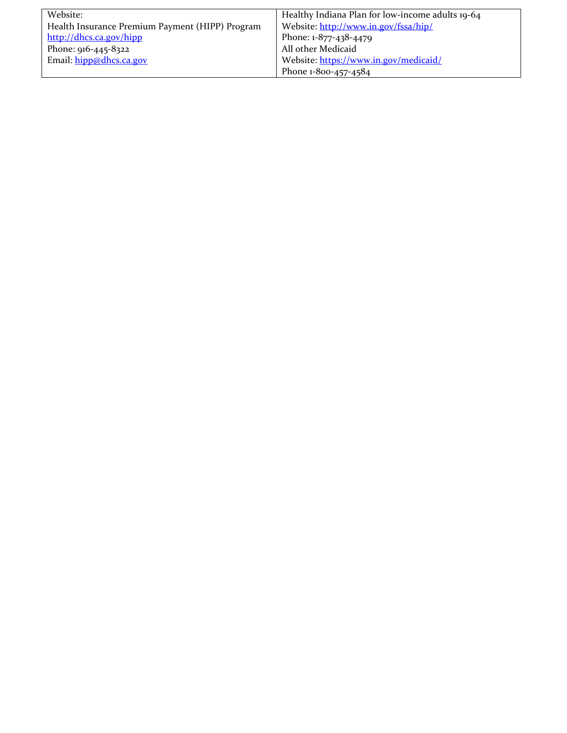| Website:                                        | Healthy Indiana Plan for low-income adults 19-64 |
|-------------------------------------------------|--------------------------------------------------|
| Health Insurance Premium Payment (HIPP) Program | Website: http://www.in.gov/fssa/hip/             |
| http://dhcs.ca.gov/hipp                         | Phone: 1-877-438-4479                            |
| Phone: 916-445-8322                             | All other Medicaid                               |
| Email: hipp@dhcs.ca.gov                         | Website: https://www.in.gov/medicaid/            |
|                                                 | Phone 1-800-457-4584                             |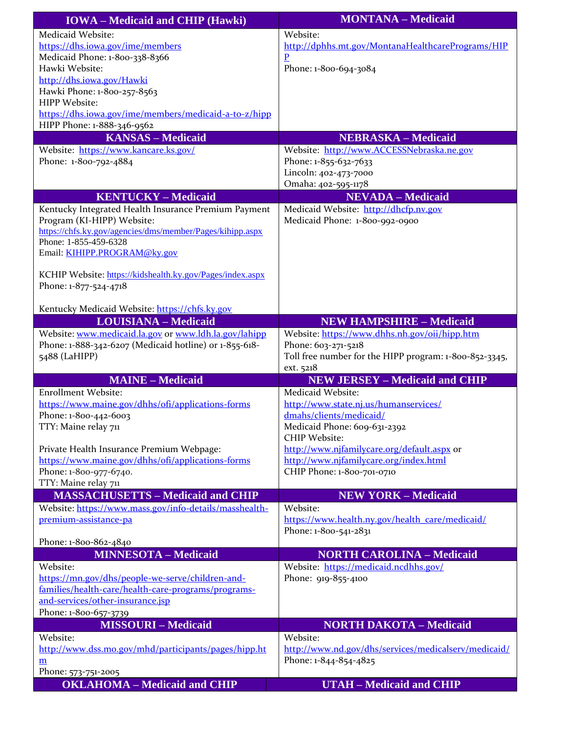| <b>IOWA</b> – Medicaid and CHIP (Hawki)                   | <b>MONTANA - Medicaid</b>                              |
|-----------------------------------------------------------|--------------------------------------------------------|
| Medicaid Website:                                         | Website:                                               |
| https://dhs.iowa.gov/ime/members                          | http://dphhs.mt.gov/MontanaHealthcarePrograms/HIP      |
| Medicaid Phone: 1-800-338-8366                            | $\overline{P}$                                         |
| Hawki Website:                                            | Phone: 1-800-694-3084                                  |
| http://dhs.iowa.gov/Hawki                                 |                                                        |
| Hawki Phone: 1-800-257-8563<br><b>HIPP Website:</b>       |                                                        |
| https://dhs.iowa.gov/ime/members/medicaid-a-to-z/hipp     |                                                        |
| HIPP Phone: 1-888-346-9562                                |                                                        |
| <b>KANSAS - Medicaid</b>                                  | <b>NEBRASKA - Medicaid</b>                             |
| Website: https://www.kancare.ks.gov/                      | Website: http://www.ACCESSNebraska.ne.gov              |
| Phone: 1-800-792-4884                                     | Phone: 1-855-632-7633                                  |
|                                                           | Lincoln: 402-473-7000                                  |
|                                                           | Omaha: 402-595-1178                                    |
| <b>KENTUCKY - Medicaid</b>                                | <b>NEVADA - Medicaid</b>                               |
| Kentucky Integrated Health Insurance Premium Payment      | Medicaid Website: http://dhcfp.nv.gov                  |
| Program (KI-HIPP) Website:                                | Medicaid Phone: 1-800-992-0900                         |
| https://chfs.ky.gov/agencies/dms/member/Pages/kihipp.aspx |                                                        |
| Phone: 1-855-459-6328<br>Email: KIHIPP.PROGRAM@ky.gov     |                                                        |
|                                                           |                                                        |
| KCHIP Website: https://kidshealth.ky.gov/Pages/index.aspx |                                                        |
| Phone: 1-877-524-4718                                     |                                                        |
|                                                           |                                                        |
| Kentucky Medicaid Website: https://chfs.ky.gov            |                                                        |
| <b>LOUISIANA - Medicaid</b>                               | <b>NEW HAMPSHIRE - Medicaid</b>                        |
| Website: www.medicaid.la.gov or www.ldh.la.gov/lahipp     | Website: https://www.dhhs.nh.gov/oii/hipp.htm          |
| Phone: 1-888-342-6207 (Medicaid hotline) or 1-855-618-    | Phone: 603-271-5218                                    |
| 5488 (LaHIPP)                                             | Toll free number for the HIPP program: 1-800-852-3345, |
| <b>MAINE - Medicaid</b>                                   | ext. 5218<br><b>NEW JERSEY - Medicaid and CHIP</b>     |
| <b>Enrollment Website:</b>                                | Medicaid Website:                                      |
| https://www.maine.gov/dhhs/ofi/applications-forms         | http://www.state.nj.us/humanservices/                  |
| Phone: 1-800-442-6003                                     | dmahs/clients/medicaid/                                |
| TTY: Maine relay 711                                      | Medicaid Phone: 609-631-2392                           |
|                                                           | <b>CHIP Website:</b>                                   |
| Private Health Insurance Premium Webpage:                 | http://www.njfamilycare.org/default.aspx or            |
| https://www.maine.gov/dhhs/ofi/applications-forms         | http://www.njfamilycare.org/index.html                 |
| Phone: 1-800-977-6740.                                    | CHIP Phone: 1-800-701-0710                             |
| TTY: Maine relay 711                                      |                                                        |
| <b>MASSACHUSETTS - Medicaid and CHIP</b>                  | <b>NEW YORK - Medicaid</b>                             |
| Website: https://www.mass.gov/info-details/masshealth-    | Website:                                               |
| premium-assistance-pa                                     | https://www.health.ny.gov/health_care/medicaid/        |
| Phone: 1-800-862-4840                                     | Phone: 1-800-541-2831                                  |
| <b>MINNESOTA - Medicaid</b>                               | <b>NORTH CAROLINA - Medicaid</b>                       |
| Website:                                                  | Website: https://medicaid.ncdhhs.gov/                  |
| https://mn.gov/dhs/people-we-serve/children-and-          | Phone: 919-855-4100                                    |
| families/health-care/health-care-programs/programs-       |                                                        |
| and-services/other-insurance.jsp                          |                                                        |
| Phone: 1-800-657-3739                                     |                                                        |
| <b>MISSOURI-Medicaid</b>                                  | <b>NORTH DAKOTA - Medicaid</b>                         |
| Website:                                                  | Website:                                               |
| http://www.dss.mo.gov/mhd/participants/pages/hipp.ht      | http://www.nd.gov/dhs/services/medicalserv/medicaid/   |
| <u>m</u>                                                  | Phone: 1-844-854-4825                                  |
| Phone: 573-751-2005                                       |                                                        |
| <b>OKLAHOMA - Medicaid and CHIP</b>                       | <b>UTAH</b> - Medicaid and CHIP                        |